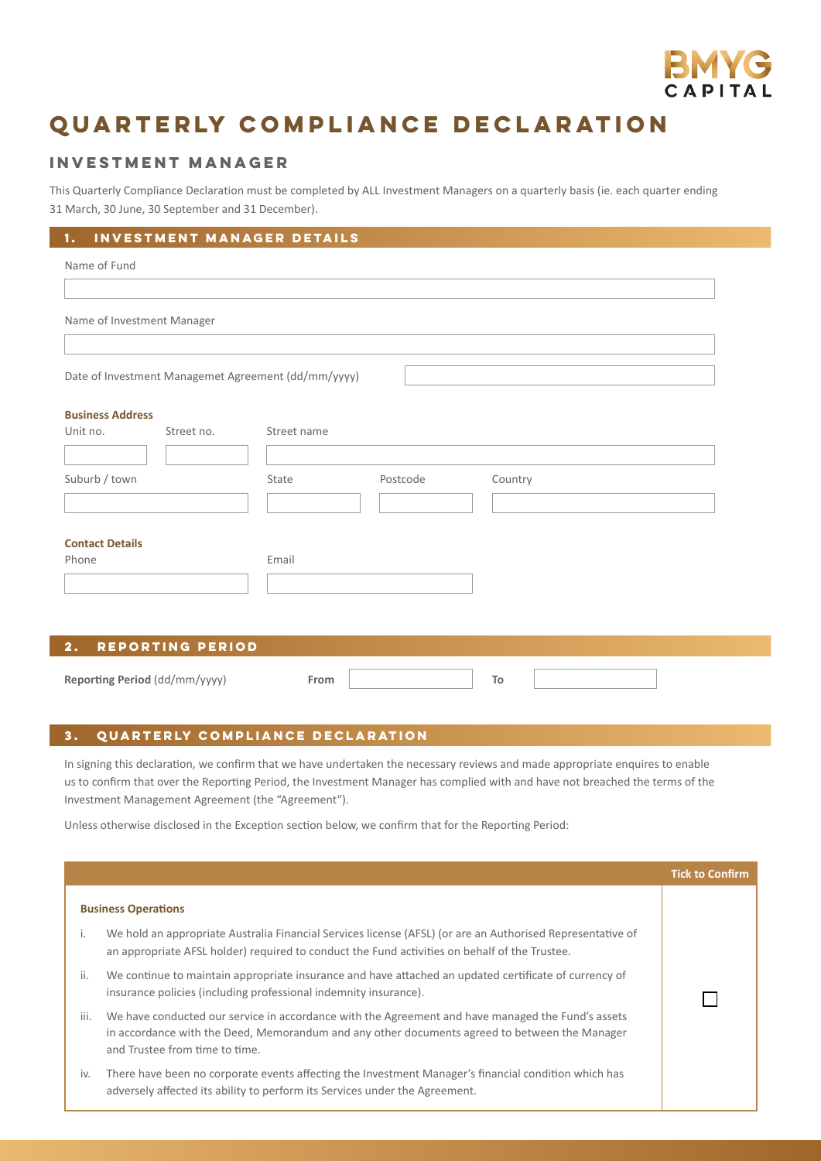

## **Quarterly compliance declaration**

## **Investment manager**

This Quarterly Compliance Declaration must be completed by ALL Investment Managers on a quarterly basis (ie. each quarter ending 31 March, 30 June, 30 September and 31 December).

| INVESTMENT MANAGER DETAILS<br>1.                    |                              |  |  |  |  |
|-----------------------------------------------------|------------------------------|--|--|--|--|
| Name of Fund                                        |                              |  |  |  |  |
|                                                     |                              |  |  |  |  |
| Name of Investment Manager                          |                              |  |  |  |  |
|                                                     |                              |  |  |  |  |
| Date of Investment Managemet Agreement (dd/mm/yyyy) |                              |  |  |  |  |
| <b>Business Address</b>                             |                              |  |  |  |  |
| Unit no.<br>Street no.                              | Street name                  |  |  |  |  |
| Suburb / town                                       | Postcode<br>Country<br>State |  |  |  |  |
|                                                     |                              |  |  |  |  |
|                                                     |                              |  |  |  |  |
| <b>Contact Details</b><br>Phone                     | Email                        |  |  |  |  |
|                                                     |                              |  |  |  |  |
|                                                     |                              |  |  |  |  |
| REPORTING PERIOD<br>2.                              |                              |  |  |  |  |
| Reporting Period (dd/mm/yyyy)                       | To<br>From                   |  |  |  |  |

## **3. Quarterly compliance declaration**

In signing this declaration, we confirm that we have undertaken the necessary reviews and made appropriate enquires to enable us to confirm that over the Reporting Period, the Investment Manager has complied with and have not breached the terms of the Investment Management Agreement (the "Agreement").

Unless otherwise disclosed in the Exception section below, we confirm that for the Reporting Period:

|                            |                                                                                                                                                                                                                                      | <b>Tick to Confirm</b> |
|----------------------------|--------------------------------------------------------------------------------------------------------------------------------------------------------------------------------------------------------------------------------------|------------------------|
| <b>Business Operations</b> |                                                                                                                                                                                                                                      |                        |
| i.                         | We hold an appropriate Australia Financial Services license (AFSL) (or are an Authorised Representative of<br>an appropriate AFSL holder) required to conduct the Fund activities on behalf of the Trustee.                          |                        |
| ii.                        | We continue to maintain appropriate insurance and have attached an updated certificate of currency of<br>insurance policies (including professional indemnity insurance).                                                            |                        |
| iii.                       | We have conducted our service in accordance with the Agreement and have managed the Fund's assets<br>in accordance with the Deed, Memorandum and any other documents agreed to between the Manager<br>and Trustee from time to time. |                        |
| iv.                        | There have been no corporate events affecting the Investment Manager's financial condition which has<br>adversely affected its ability to perform its Services under the Agreement.                                                  |                        |